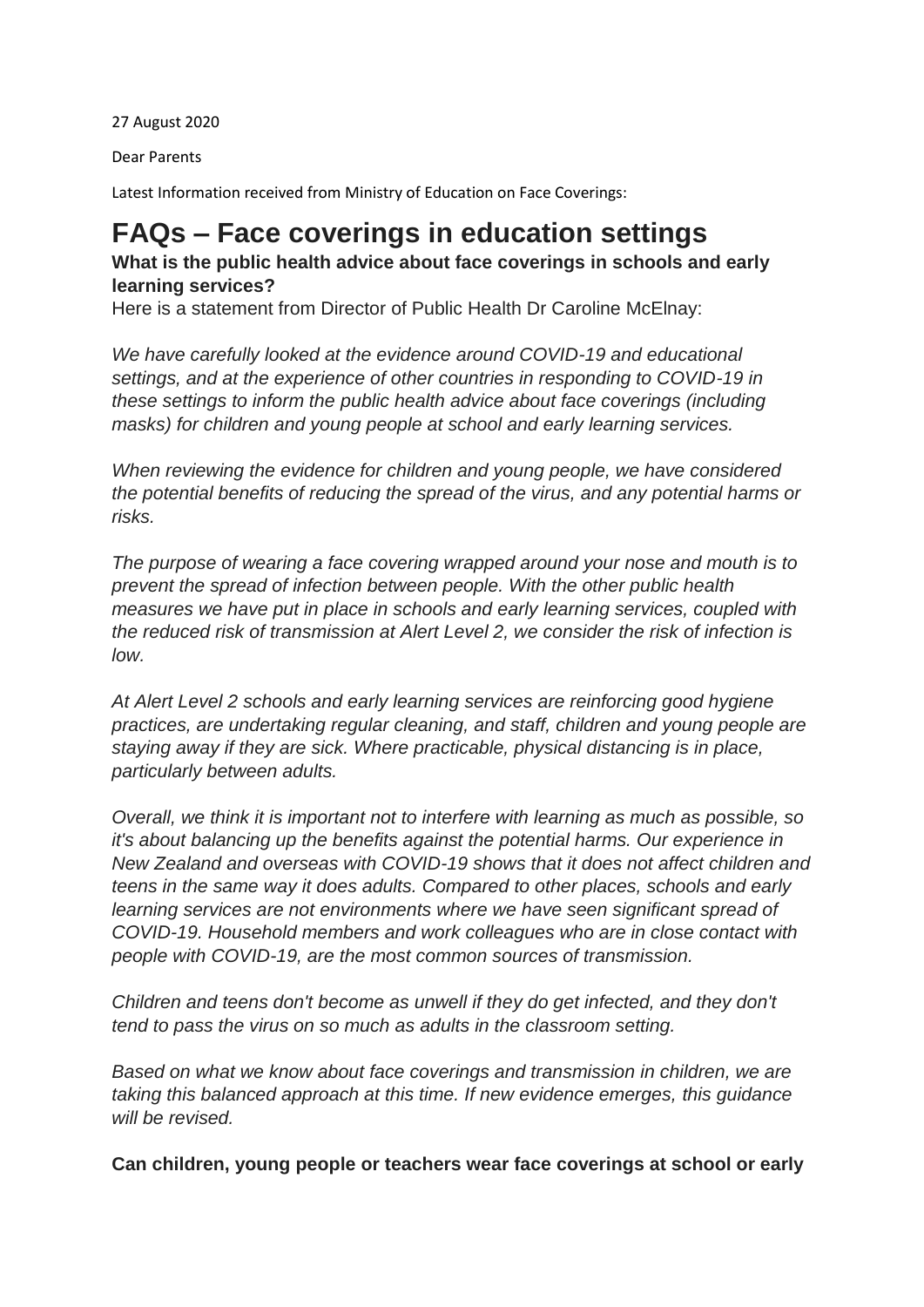27 August 2020

Dear Parents

Latest Information received from Ministry of Education on Face Coverings:

# **FAQs – Face coverings in education settings**

## **What is the public health advice about face coverings in schools and early learning services?**

Here is a statement from Director of Public Health Dr Caroline McElnay:

*We have carefully looked at the evidence around COVID-19 and educational settings, and at the experience of other countries in responding to COVID-19 in these settings to inform the public health advice about face coverings (including masks) for children and young people at school and early learning services.*

*When reviewing the evidence for children and young people, we have considered the potential benefits of reducing the spread of the virus, and any potential harms or risks.*

*The purpose of wearing a face covering wrapped around your nose and mouth is to prevent the spread of infection between people. With the other public health measures we have put in place in schools and early learning services, coupled with the reduced risk of transmission at Alert Level 2, we consider the risk of infection is low.* 

*At Alert Level 2 schools and early learning services are reinforcing good hygiene practices, are undertaking regular cleaning, and staff, children and young people are staying away if they are sick. Where practicable, physical distancing is in place, particularly between adults.*

*Overall, we think it is important not to interfere with learning as much as possible, so it's about balancing up the benefits against the potential harms. Our experience in New Zealand and overseas with COVID-19 shows that it does not affect children and teens in the same way it does adults. Compared to other places, schools and early learning services are not environments where we have seen significant spread of COVID-19. Household members and work colleagues who are in close contact with people with COVID-19, are the most common sources of transmission.*

*Children and teens don't become as unwell if they do get infected, and they don't tend to pass the virus on so much as adults in the classroom setting.* 

*Based on what we know about face coverings and transmission in children, we are taking this balanced approach at this time. If new evidence emerges, this guidance will be revised.*

**Can children, young people or teachers wear face coverings at school or early**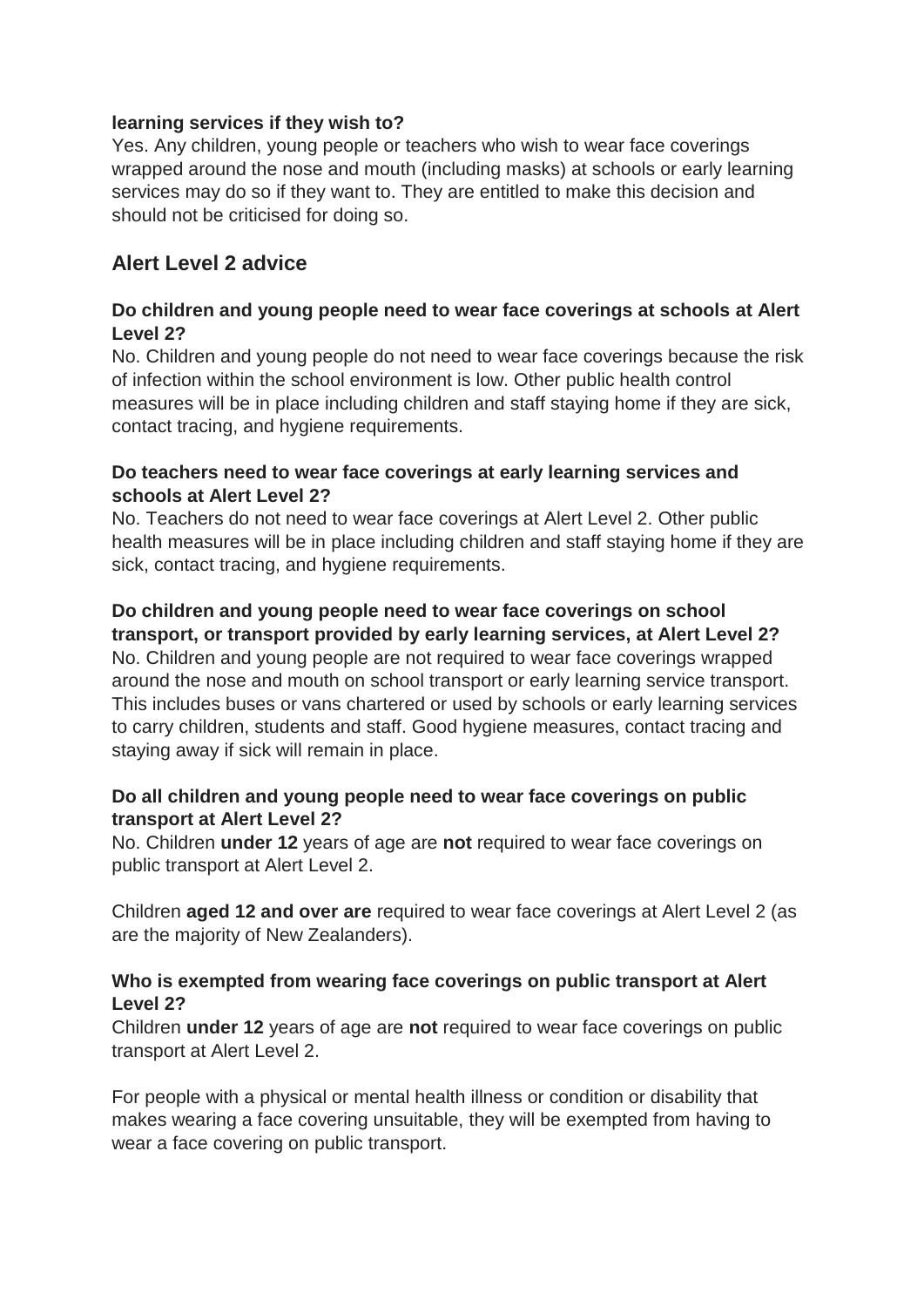### **learning services if they wish to?**

Yes. Any children, young people or teachers who wish to wear face coverings wrapped around the nose and mouth (including masks) at schools or early learning services may do so if they want to. They are entitled to make this decision and should not be criticised for doing so.

## **Alert Level 2 advice**

## **Do children and young people need to wear face coverings at schools at Alert Level 2?**

No. Children and young people do not need to wear face coverings because the risk of infection within the school environment is low. Other public health control measures will be in place including children and staff staying home if they are sick, contact tracing, and hygiene requirements.

## **Do teachers need to wear face coverings at early learning services and schools at Alert Level 2?**

No. Teachers do not need to wear face coverings at Alert Level 2. Other public health measures will be in place including children and staff staying home if they are sick, contact tracing, and hygiene requirements.

#### **Do children and young people need to wear face coverings on school transport, or transport provided by early learning services, at Alert Level 2?**

No. Children and young people are not required to wear face coverings wrapped around the nose and mouth on school transport or early learning service transport. This includes buses or vans chartered or used by schools or early learning services to carry children, students and staff. Good hygiene measures, contact tracing and staying away if sick will remain in place.

## **Do all children and young people need to wear face coverings on public transport at Alert Level 2?**

No. Children **under 12** years of age are **not** required to wear face coverings on public transport at Alert Level 2.

Children **aged 12 and over are** required to wear face coverings at Alert Level 2 (as are the majority of New Zealanders).

## **Who is exempted from wearing face coverings on public transport at Alert Level 2?**

Children **under 12** years of age are **not** required to wear face coverings on public transport at Alert Level 2.

For people with a physical or mental health illness or condition or disability that makes wearing a face covering unsuitable, they will be exempted from having to wear a face covering on public transport.